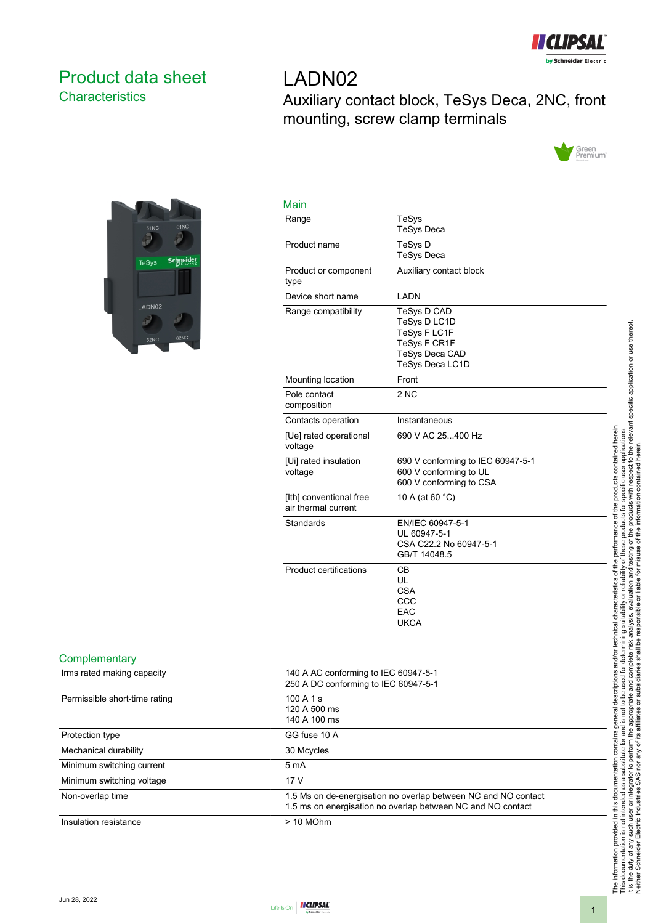

# <span id="page-0-0"></span>Product data sheet **Characteristics**

LADN02 Auxiliary contact block, TeSys Deca, 2NC, front mounting, screw clamp terminals





| TeSys<br><b>TeSys Deca</b>                                                                              |
|---------------------------------------------------------------------------------------------------------|
| TeSys D<br><b>TeSys Deca</b>                                                                            |
| Auxiliary contact block                                                                                 |
| LADN                                                                                                    |
| TeSys D CAD<br>TeSys D LC1D<br>TeSys F LC1F<br>TeSys F CR1F<br><b>TeSys Deca CAD</b><br>TeSys Deca LC1D |
| Front                                                                                                   |
| 2 NC                                                                                                    |
| Instantaneous                                                                                           |
| 690 V AC 25400 Hz                                                                                       |
| 690 V conforming to IEC 60947-5-1<br>600 V conforming to UL<br>600 V conforming to CSA                  |
| 10 A (at 60 °C)                                                                                         |
| EN/IEC 60947-5-1<br>UL 60947-5-1<br>CSA C22.2 No 60947-5-1<br>GB/T 14048.5                              |
| CВ<br>UL<br><b>CSA</b><br>CCC<br>EAC<br><b>UKCA</b>                                                     |
|                                                                                                         |

#### **Complementary**

| Irms rated making capacity    | 140 A AC conforming to IEC 60947-5-1                                                                                          |
|-------------------------------|-------------------------------------------------------------------------------------------------------------------------------|
|                               | 250 A DC conforming to IEC 60947-5-1                                                                                          |
| Permissible short-time rating | 100A1s<br>120 A 500 ms<br>140 A 100 ms                                                                                        |
| Protection type               | GG fuse 10 A                                                                                                                  |
| Mechanical durability         | 30 Mcycles                                                                                                                    |
| Minimum switching current     | 5 <sub>m</sub> A                                                                                                              |
| Minimum switching voltage     | 17 <sub>V</sub>                                                                                                               |
| Non-overlap time              | 1.5 Ms on de-energisation no overlap between NC and NO contact<br>1.5 ms on energisation no overlap between NC and NO contact |
| Insulation resistance         | $> 10$ MOhm                                                                                                                   |